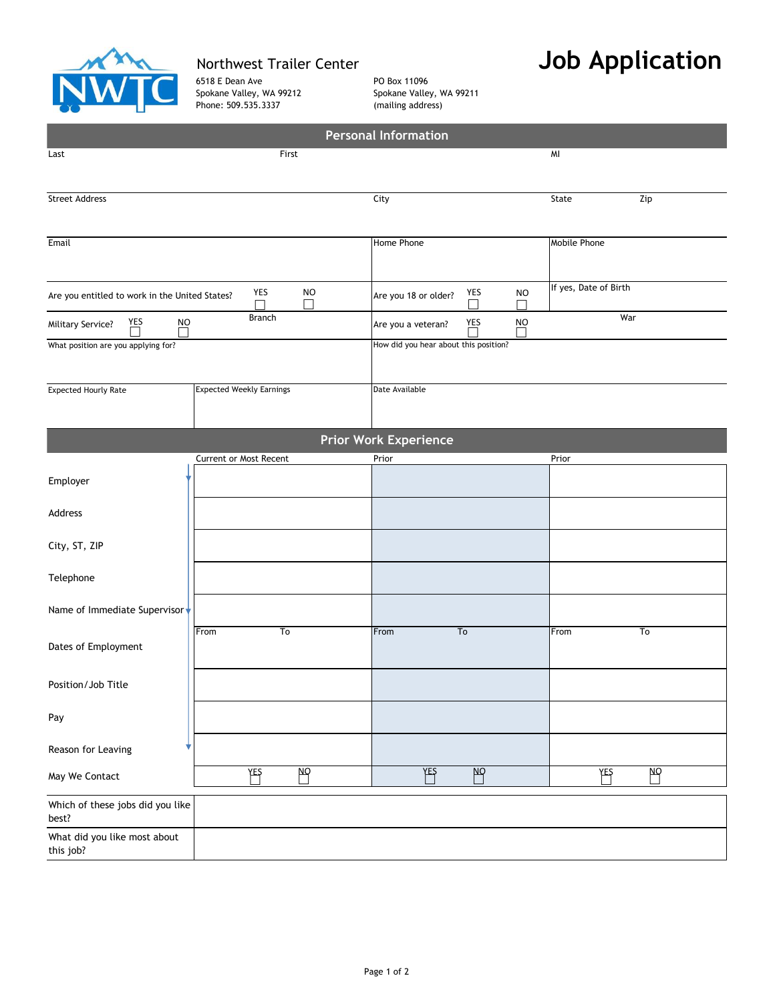

6518 E Dean Ave **PO Box 11096** Spokane Valley, WA 99212 Spokane Valley, WA 99211 Phone: 509.535.3337 (mailing address)

## Northwest Trailer Center **Job Application**

|                                                |                                 | <b>Personal Information</b>                                |                       |  |  |  |  |  |  |
|------------------------------------------------|---------------------------------|------------------------------------------------------------|-----------------------|--|--|--|--|--|--|
| Last                                           | First                           |                                                            | MI                    |  |  |  |  |  |  |
|                                                |                                 |                                                            |                       |  |  |  |  |  |  |
| <b>Street Address</b>                          |                                 | City                                                       | Zip<br>State          |  |  |  |  |  |  |
|                                                |                                 |                                                            |                       |  |  |  |  |  |  |
|                                                |                                 |                                                            |                       |  |  |  |  |  |  |
| Email                                          |                                 | Home Phone                                                 | Mobile Phone          |  |  |  |  |  |  |
|                                                |                                 |                                                            |                       |  |  |  |  |  |  |
|                                                | <b>NO</b><br>YES                | YES<br><b>NO</b>                                           | If yes, Date of Birth |  |  |  |  |  |  |
| Are you entitled to work in the United States? | П<br>$\mathsf{L}$               | Are you 18 or older?<br>$\overline{\phantom{0}}$<br>$\Box$ |                       |  |  |  |  |  |  |
| YES<br><b>NO</b><br><b>Military Service?</b>   | <b>Branch</b>                   | War<br><b>NO</b><br>YES<br>Are you a veteran?              |                       |  |  |  |  |  |  |
| What position are you applying for?            |                                 | How did you hear about this position?                      |                       |  |  |  |  |  |  |
|                                                |                                 |                                                            |                       |  |  |  |  |  |  |
|                                                |                                 |                                                            |                       |  |  |  |  |  |  |
| <b>Expected Hourly Rate</b>                    | <b>Expected Weekly Earnings</b> | Date Available                                             |                       |  |  |  |  |  |  |
|                                                |                                 |                                                            |                       |  |  |  |  |  |  |
|                                                |                                 | <b>Prior Work Experience</b>                               |                       |  |  |  |  |  |  |
|                                                | Current or Most Recent          | Prior                                                      | Prior                 |  |  |  |  |  |  |
|                                                |                                 |                                                            |                       |  |  |  |  |  |  |
| Employer                                       |                                 |                                                            |                       |  |  |  |  |  |  |
| Address                                        |                                 |                                                            |                       |  |  |  |  |  |  |
|                                                |                                 |                                                            |                       |  |  |  |  |  |  |
| City, ST, ZIP                                  |                                 |                                                            |                       |  |  |  |  |  |  |
|                                                |                                 |                                                            |                       |  |  |  |  |  |  |
| Telephone                                      |                                 |                                                            |                       |  |  |  |  |  |  |
|                                                |                                 |                                                            |                       |  |  |  |  |  |  |
| Name of Immediate Supervisor                   |                                 |                                                            |                       |  |  |  |  |  |  |
|                                                | From<br>To                      | To<br>From                                                 | From<br>To            |  |  |  |  |  |  |
| Dates of Employment                            |                                 |                                                            |                       |  |  |  |  |  |  |
|                                                |                                 |                                                            |                       |  |  |  |  |  |  |
| Position/Job Title                             |                                 |                                                            |                       |  |  |  |  |  |  |
|                                                |                                 |                                                            |                       |  |  |  |  |  |  |
| Pay                                            |                                 |                                                            |                       |  |  |  |  |  |  |
| Reason for Leaving                             |                                 |                                                            |                       |  |  |  |  |  |  |
|                                                |                                 |                                                            |                       |  |  |  |  |  |  |
| May We Contact                                 | YES<br> <br>NΩ                  | $\mathbb{B}$<br>YES                                        | pρ<br>YES             |  |  |  |  |  |  |
| Which of these jobs did you like               |                                 |                                                            |                       |  |  |  |  |  |  |
| best?                                          |                                 |                                                            |                       |  |  |  |  |  |  |
| What did you like most about                   |                                 |                                                            |                       |  |  |  |  |  |  |
| this job?                                      |                                 |                                                            |                       |  |  |  |  |  |  |